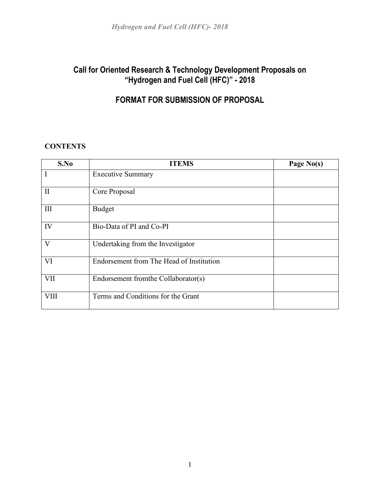## **Call for Oriented Research & Technology Development Proposals on "Hydrogen and Fuel Cell (HFC)" - 2018**

## **FORMAT FOR SUBMISSION OF PROPOSAL**

## **CONTENTS**

| S.No         | <b>ITEMS</b>                             | Page No(s) |
|--------------|------------------------------------------|------------|
| I            | <b>Executive Summary</b>                 |            |
| $\mathbf{I}$ | Core Proposal                            |            |
| III          | Budget                                   |            |
| IV           | Bio-Data of PI and Co-PI                 |            |
| V            | Undertaking from the Investigator        |            |
| VI           | Endorsement from The Head of Institution |            |
| <b>VII</b>   | Endorsement from the Collaborator(s)     |            |
| <b>VIII</b>  | Terms and Conditions for the Grant       |            |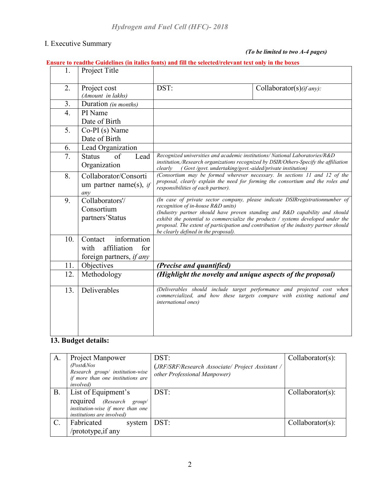#### I. Executive Summary

#### *(To be limited to two A-4 pages)*

### **Ensure to readthe Guidelines (in italics fonts) and fill the selected/relevant text only in the boxes**

| 1.               | Project Title                                                                           |                                                                                                                                                                                                                                                                                                                                                                                                                            |                                                                                                                                                     |  |  |  |
|------------------|-----------------------------------------------------------------------------------------|----------------------------------------------------------------------------------------------------------------------------------------------------------------------------------------------------------------------------------------------------------------------------------------------------------------------------------------------------------------------------------------------------------------------------|-----------------------------------------------------------------------------------------------------------------------------------------------------|--|--|--|
| 2.               | Project cost<br>(Amount in lakhs)                                                       | DST:                                                                                                                                                                                                                                                                                                                                                                                                                       | Collaborator(s)(if any):                                                                                                                            |  |  |  |
| 3.               | Duration (in months)                                                                    |                                                                                                                                                                                                                                                                                                                                                                                                                            |                                                                                                                                                     |  |  |  |
| $\overline{4}$ . | PI Name                                                                                 |                                                                                                                                                                                                                                                                                                                                                                                                                            |                                                                                                                                                     |  |  |  |
|                  | Date of Birth                                                                           |                                                                                                                                                                                                                                                                                                                                                                                                                            |                                                                                                                                                     |  |  |  |
| 5.               | $Co-PI(s)$ Name<br>Date of Birth                                                        |                                                                                                                                                                                                                                                                                                                                                                                                                            |                                                                                                                                                     |  |  |  |
| 6.               | Lead Organization                                                                       |                                                                                                                                                                                                                                                                                                                                                                                                                            |                                                                                                                                                     |  |  |  |
| 7.               | of<br>Lead<br><b>Status</b><br>Organization                                             | Recognized universities and academic institutions/ National Laboratories/R&D<br>institution,/Research organizations recognized by DSIR/Others-Specify the affiliation<br>(Govt /govt. undertaking/govt.-aided/private institution)<br>clearly                                                                                                                                                                              |                                                                                                                                                     |  |  |  |
| 8.               | Collaborator/Consorti<br>um partner name(s), if<br>any                                  | (Consortium may be formed wherever necessary. In sections 11 and 12 of the<br>proposal, clearly explain the need for forming the consortium and the roles and<br>responsibilities of each partner).                                                                                                                                                                                                                        |                                                                                                                                                     |  |  |  |
| 9.               | Collaborators'/<br>Consortium<br>partners'Status                                        | (In case of private sector company, please indicate DSIR registration number of<br>recognition of in-house R&D units)<br>(Industry partner should have proven standing and R&D capability and should<br>exhibit the potential to commercialize the products / systems developed under the<br>proposal. The extent of participation and contribution of the industry partner should<br>be clearly defined in the proposal). |                                                                                                                                                     |  |  |  |
| 10.              | information<br>Contact<br>affiliation<br>for<br>with<br>foreign partners, <i>if any</i> |                                                                                                                                                                                                                                                                                                                                                                                                                            |                                                                                                                                                     |  |  |  |
| 11.              | Objectives                                                                              | (Precise and quantified)                                                                                                                                                                                                                                                                                                                                                                                                   |                                                                                                                                                     |  |  |  |
| 12.              | Methodology                                                                             | (Highlight the novelty and unique aspects of the proposal)                                                                                                                                                                                                                                                                                                                                                                 |                                                                                                                                                     |  |  |  |
| 13.              | Deliverables                                                                            | <i>international ones)</i>                                                                                                                                                                                                                                                                                                                                                                                                 | (Deliverables should include target performance and projected cost when<br>commercialized, and how these targets compare with existing national and |  |  |  |

## **13. Budget details:**

| A. | Project Manpower<br>$\text{Post}\&\text{Nos}$<br>Research group/ institution-wise<br>if more than one institutions are<br><i>involved</i> ) | DST:<br>(JRF/SRF/Research Associate/ Project Assistant /<br>other Professional Manpower) | $Collaborator(s)$ : |
|----|---------------------------------------------------------------------------------------------------------------------------------------------|------------------------------------------------------------------------------------------|---------------------|
| В. | List of Equipment's<br>required (Research group/<br>institution-wise if more than one<br>institutions are involved)                         | DST:                                                                                     | $Collaborator(s)$ : |
|    | Fabricated<br>system<br>/prototype, if any                                                                                                  | DST:                                                                                     | $Collaborator(s)$ : |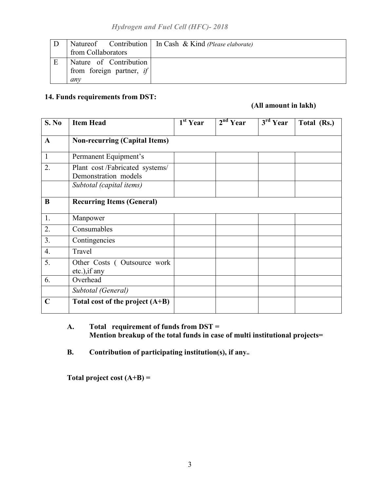|   |                                                           | Natureof Contribution   In Cash & Kind (Please elaborate) |
|---|-----------------------------------------------------------|-----------------------------------------------------------|
|   | from Collaborators                                        |                                                           |
| E | Nature of Contribution<br>from foreign partner, if<br>anv |                                                           |

## **14. Funds requirements from DST:**

## **(All amount in lakh)**

| S. No        | <b>Item Head</b>                                       | $1st$ Year | $2nd$ Year | 3 <sup>rd</sup> Year | Total (Rs.) |
|--------------|--------------------------------------------------------|------------|------------|----------------------|-------------|
| $\mathbf{A}$ | <b>Non-recurring (Capital Items)</b>                   |            |            |                      |             |
| $\mathbf{1}$ | Permanent Equipment's                                  |            |            |                      |             |
| 2.           | Plant cost/Fabricated systems/<br>Demonstration models |            |            |                      |             |
|              | Subtotal (capital items)                               |            |            |                      |             |
| $\bf{B}$     | <b>Recurring Items (General)</b>                       |            |            |                      |             |
| 1.           | Manpower                                               |            |            |                      |             |
| 2.           | Consumables                                            |            |            |                      |             |
| 3.           | Contingencies                                          |            |            |                      |             |
| 4.           | Travel                                                 |            |            |                      |             |
| 5.           | Other Costs (Outsource work<br>etc.), if any           |            |            |                      |             |
| 6.           | Overhead                                               |            |            |                      |             |
|              | Subtotal (General)                                     |            |            |                      |             |
| $\mathbf C$  | Total cost of the project $(A+B)$                      |            |            |                      |             |

**A. Total requirement of funds from DST = Mention breakup of the total funds in case of multi institutional projects=**

**B. Contribution of participating institution(s), if any=**

**Total project cost (A+B) =**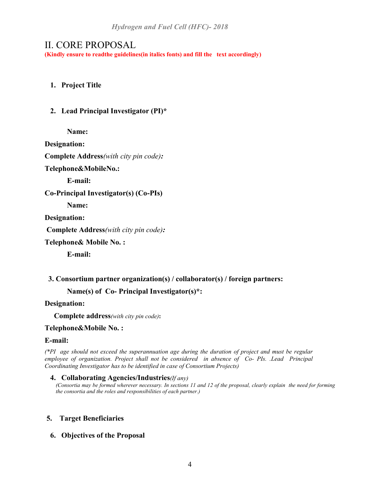## II. CORE PROPOSAL

**(Kindly ensure to readthe guidelines(in italics fonts) and fill the text accordingly)**

### **1. Project Title**

#### **2. Lead Principal Investigator (PI)\***

**Name:**

**Designation:**

**Complete Address***(with city pin code):*

**Telephone&MobileNo.:**

**E-mail:**

**Co-Principal Investigator(s) (Co-PIs)**

**Name:**

**Designation:**

**Complete Address***(with city pin code):*

**Telephone& Mobile No. :**

**E-mail:**

#### **3. Consortium partner organization(s) / collaborator(s) / foreign partners:**

**Name(s) of Co- Principal Investigator(s)\*:**

#### **Designation:**

 **Complete address***(with city pin code)***:**

#### **Telephone&Mobile No. :**

#### **E-mail:**

*(\*PI age should not exceed the superannuation age during the duration of project and must be regular employee of organization. Project shall not be considered in absence of Co- PIs. .Lead Principal Coordinating Investigator has to be identified in case of Consortium Projects)*

**4. Collaborating Agencies/Industries***(If any) (Consortia may be formed wherever necessary. In sections 11 and 12 of the proposal, clearly explain the need for forming the consortia and the roles and responsibilities of each partner.)*

#### **5. Target Beneficiaries**

**6. Objectives of the Proposal**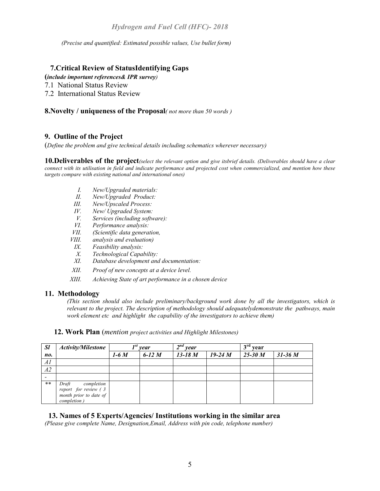*(Precise and quantified: Estimated possible values, Use bullet form)*

#### **7.Critical Review of StatusIdentifying Gaps**

**(***include important references& IPR survey)*

7.1 National Status Review

7.2 International Status Review

#### **8.Novelty / uniqueness of the Proposal***( not more than 50 words )*

#### **9. Outline of the Project**

(*Define the problem and give technical details including schematics wherever necessary)*

**10.Deliverables of the project***(select the relevant option and give itsbrief details. (Deliverables should have a clear connect with its utilisation in field and indicate performance and projected cost when commercialized, and mention how these targets compare with existing national and international ones)*

- *I. New/Upgraded materials:*
- *II. New/Upgraded Product:*
- *III. New/Upscaled Process:*
- *IV. New/ Upgraded System:*
- *V. Services (including software):*
- *VI. Performance analysis:*
- *VII. (Scientific data generation,*
- *VIII. analysis and evaluation)*
- *IX. Feasibility analysis:*
- *X. Technological Capability:*
- *XI. Database development and documentation:*
- *XII. Proof of new concepts at a device level.*
- *XIII. Achieving State of art performance in a chosen device*

#### **11. Methodology**

*(This section should also include preliminary/background work done by all the investigators, which is relevant to the project. The description of methodology should adequatelydemonstrate the pathways, main work element etc and highlight the capability of the investigators to achieve them)*

| <b>Sl</b> | <b>Activity/Milestone</b>                                                            |        | vear     | $\boldsymbol{\gamma}$ nd<br>year |           | 3 <sup>rd</sup><br>vear |             |
|-----------|--------------------------------------------------------------------------------------|--------|----------|----------------------------------|-----------|-------------------------|-------------|
| no.       |                                                                                      | $1-6M$ | 6-12 $M$ | $13 - 18M$                       | $19-24 M$ | $25-30M$                | $31 - 36 M$ |
| Al        |                                                                                      |        |          |                                  |           |                         |             |
| A2        |                                                                                      |        |          |                                  |           |                         |             |
|           |                                                                                      |        |          |                                  |           |                         |             |
| **        | Draft<br>completion<br>report for review (3<br>month prior to date of<br>completion) |        |          |                                  |           |                         |             |

 **12. Work Plan** (*mention project activities and Highlight Milestones)*

#### **13. Names of 5 Experts/Agencies/ Institutions working in the similar area**

*(Please give complete Name, Designation,Email, Address with pin code, telephone number)*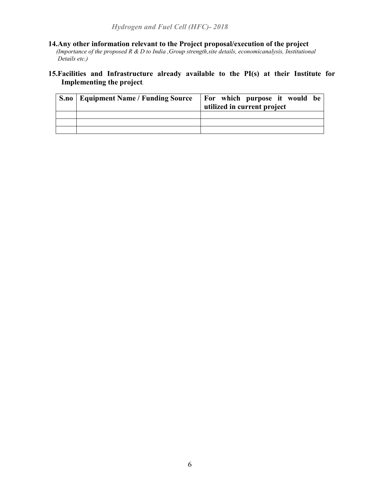#### **14.Any other information relevant to the Project proposal/execution of the project**

 *(Importance of the proposed R & D to India ,Group strength,site details, economicanalysis, Institutional Details etc.)*

#### **15.Facilities and Infrastructure already available to the PI(s) at their Institute for Implementing the project***.*

| S.no | Equipment Name / Funding Source | <b>For which purpose it would be</b><br>utilized in current project |
|------|---------------------------------|---------------------------------------------------------------------|
|      |                                 |                                                                     |
|      |                                 |                                                                     |
|      |                                 |                                                                     |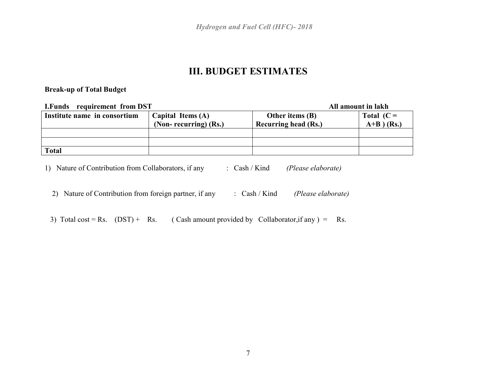*Hydrogen and Fuel Cell (HFC)- 2018*

## **III. BUDGET ESTIMATES**

#### **Break-up of Total Budget**

| <b>I.Funds</b> requirement from DST |                       |                             | All amount in lakh |
|-------------------------------------|-----------------------|-----------------------------|--------------------|
| Institute name in consortium        | Capital Items (A)     | Other items (B)             | Total $(C =$       |
|                                     | (Non-recurring) (Rs.) | <b>Recurring head (Rs.)</b> | $A+B$ $(Rs.)$      |
|                                     |                       |                             |                    |
|                                     |                       |                             |                    |
| <b>Total</b>                        |                       |                             |                    |

1) Nature of Contribution from Collaborators, if any : Cash / Kind *(Please elaborate)*

2) Nature of Contribution from foreign partner, if any : Cash / Kind *(Please elaborate)*

3) Total cost = Rs.  $(DST)$  + Rs. (Cash amount provided by Collaborator, if any ) = Rs.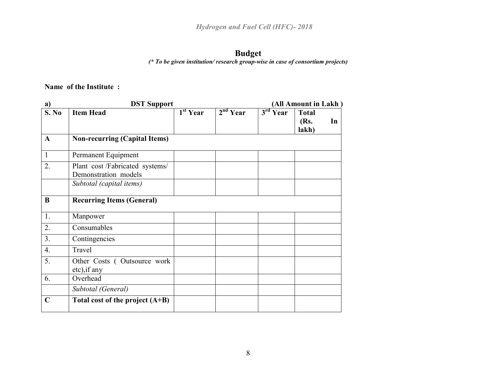# **Budget**

*(\* To be given institution/ research group-wise in case of consortium projects)*

**Name of the Institute :** 

| a)               | <b>DST Support</b>                                                                 |                                 | (All Amount in Lakh) |                      |                               |    |
|------------------|------------------------------------------------------------------------------------|---------------------------------|----------------------|----------------------|-------------------------------|----|
| S. No            | <b>Item Head</b>                                                                   | $\overline{1}^{\text{st}}$ Year | 2 <sup>nd</sup> Year | 3 <sup>rd</sup> Year | <b>Total</b><br>(Rs.<br>lakh) | In |
| $\mathbf A$      | <b>Non-recurring (Capital Items)</b>                                               |                                 |                      |                      |                               |    |
| 1                | Permanent Equipment                                                                |                                 |                      |                      |                               |    |
| 2.               | Plant cost/Fabricated systems/<br>Demonstration models<br>Subtotal (capital items) |                                 |                      |                      |                               |    |
| $\bf{B}$         | <b>Recurring Items (General)</b>                                                   |                                 |                      |                      |                               |    |
| 1.               | Manpower                                                                           |                                 |                      |                      |                               |    |
| 2.               | Consumables                                                                        |                                 |                      |                      |                               |    |
| 3.               | Contingencies                                                                      |                                 |                      |                      |                               |    |
| $\overline{4}$ . | Travel                                                                             |                                 |                      |                      |                               |    |
| 5.               | Other Costs (Outsource work<br>etc), if any                                        |                                 |                      |                      |                               |    |
| 6.               | Overhead                                                                           |                                 |                      |                      |                               |    |
|                  | Subtotal (General)                                                                 |                                 |                      |                      |                               |    |
| $\mathbf C$      | Total cost of the project $(A+B)$                                                  |                                 |                      |                      |                               |    |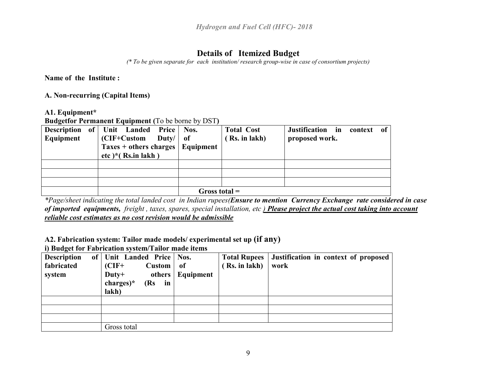## **Details of Itemized Budget**

*(\* To be given separate for each institution/ research group-wise in case of consortium projects)*

**Name of the Institute :** 

**A. Non-recurring (Capital Items)**

**A1. Equipment\***

**Budgetfor Permanent Equipment (**To be borne by DST**)**

| Description of Unit Landed Price Nos. |                 |  |                      |                  |                                            | <b>Total Cost</b> | Justification in context |  | of |
|---------------------------------------|-----------------|--|----------------------|------------------|--------------------------------------------|-------------------|--------------------------|--|----|
| Equipment                             |                 |  | (CIF+Custom          | Duty/ $\vert$ of |                                            | (Rs. in lakh)     | proposed work.           |  |    |
|                                       |                 |  |                      |                  | Taxes $+$ others charges $\vert$ Equipment |                   |                          |  |    |
|                                       |                 |  | etc)*( $Rs.in$ lakh) |                  |                                            |                   |                          |  |    |
|                                       |                 |  |                      |                  |                                            |                   |                          |  |    |
|                                       |                 |  |                      |                  |                                            |                   |                          |  |    |
|                                       |                 |  |                      |                  |                                            |                   |                          |  |    |
|                                       | Gross total $=$ |  |                      |                  |                                            |                   |                          |  |    |

*\*Page/sheet indicating the total landed cost in Indian rupees(Ensure to mention Currency Exchange rate considered in case of imported equipments, freight , taxes, spares, special installation, etc ) Please project the actual cost taking into account reliable cost estimates as no cost revision would be admissible*

**A2. Fabrication system: Tailor made models/ experimental set up (if any)**

**i) Budget for Fabrication system/Tailor made items**

| <b>Description</b> | of Unit Landed Price   Nos. |                    |               | Total Rupees   Justification in context of proposed |
|--------------------|-----------------------------|--------------------|---------------|-----------------------------------------------------|
| fabricated         | $(CIF+$<br>Custom           | - of               | (Rs. in lakh) | work                                                |
| system             | $Duty+$                     | others   Equipment |               |                                                     |
|                    | $charge)$ *<br>$(Rs$ in     |                    |               |                                                     |
|                    | lakh)                       |                    |               |                                                     |
|                    |                             |                    |               |                                                     |
|                    |                             |                    |               |                                                     |
|                    |                             |                    |               |                                                     |
|                    | Gross total                 |                    |               |                                                     |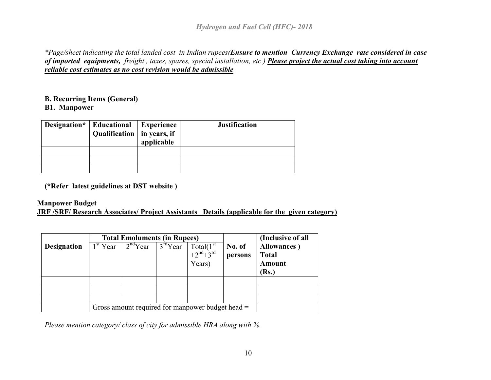*\*Page/sheet indicating the total landed cost in Indian rupees(Ensure to mention Currency Exchange rate considered in case of imported equipments, freight , taxes, spares, special installation, etc ) Please project the actual cost taking into account reliable cost estimates as no cost revision would be admissible*

## **B. Recurring Items (General)**

#### **B1. Manpower**

| Designation* | <b>Educational</b><br>Qualification   in years, if | <b>Experience</b><br>applicable | <b>Justification</b> |
|--------------|----------------------------------------------------|---------------------------------|----------------------|
|              |                                                    |                                 |                      |
|              |                                                    |                                 |                      |
|              |                                                    |                                 |                      |

**(\*Refer latest guidelines at DST website )** 

## **Manpower Budget**

**JRF /SRF/ Research Associates/ Project Assistants Details (applicable for the given category)**

| <b>Designation</b> | <b>Total Emoluments (in Rupees)</b><br>$1st$ Year $2nd$ Year | $\overline{3}^{rd}$ Year | $\text{Total}(1^{\text{st}} + 2^{\text{nd}} + 3^{\text{rd}})$<br>Years) | No. of<br>persons | (Inclusive of all<br>Allowances)<br><b>Total</b><br>Amount<br>(Rs.) |
|--------------------|--------------------------------------------------------------|--------------------------|-------------------------------------------------------------------------|-------------------|---------------------------------------------------------------------|
|                    |                                                              |                          |                                                                         |                   |                                                                     |
|                    |                                                              |                          | Gross amount required for manpower budget head =                        |                   |                                                                     |

*Please mention category/ class of city for admissible HRA along with %.*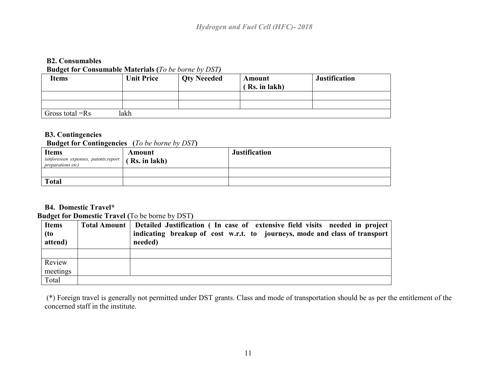#### **B2. Consumables Budget for Consumable Materials (***To be borne by DST)*

| <b>Items</b>      | <b>Unit Price</b> | <b>Qty Neeeded</b> | Amount<br>(Rs. in lakh) | <b>Justification</b> |
|-------------------|-------------------|--------------------|-------------------------|----------------------|
|                   |                   |                    |                         |                      |
|                   |                   |                    |                         |                      |
| Gross total $=Rs$ | lakh              |                    |                         |                      |

#### **B3. Contingencies**

#### **Budget for Contingencies (***To be borne by DST***)**

| <b>Items</b><br>(unforeseen expenses, patents, report $(Rs. in 1akh)$<br><i>preparations etc)</i> | Amount | <b>Justification</b> |
|---------------------------------------------------------------------------------------------------|--------|----------------------|
|                                                                                                   |        |                      |
| <b>Total</b>                                                                                      |        |                      |

## **B4. Domestic Travel\***

#### **Budget for Domestic Travel (**To be borne by DST**)**

| <b>Items</b>    | Total Amount   Detailed Justification (In case of extensive field visits needed in project |
|-----------------|--------------------------------------------------------------------------------------------|
| (to)<br>attend) | indicating breakup of cost w.r.t. to journeys, mode and class of transport<br>needed)      |
|                 |                                                                                            |
| Review          |                                                                                            |
| meetings        |                                                                                            |
| Total           |                                                                                            |

(\*) Foreign travel is generally not permitted under DST grants. Class and mode of transportation should be as per the entitlement of the concerned staff in the institute.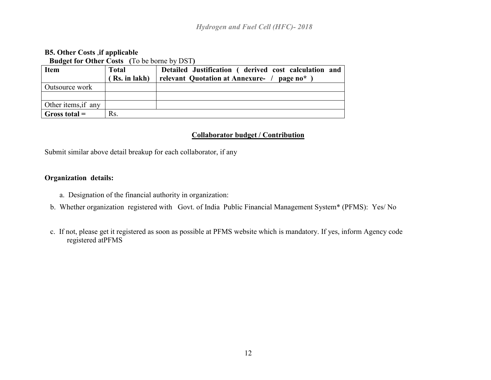#### **B5. Other Costs** ,**if applicable Budget for Other Costs (**To be borne by DST**)**

|                     | <b>Duuget for Other Costs</b> (10 00 borne by DB1) |                                                           |  |  |  |  |
|---------------------|----------------------------------------------------|-----------------------------------------------------------|--|--|--|--|
| <b>Item</b>         | <b>Total</b>                                       | Detailed Justification (derived cost calculation and      |  |  |  |  |
|                     | Rs. in lakh)                                       | relevant Quotation at Annexure- /<br>page no <sup>*</sup> |  |  |  |  |
| Outsource work      |                                                    |                                                           |  |  |  |  |
|                     |                                                    |                                                           |  |  |  |  |
| Other items, if any |                                                    |                                                           |  |  |  |  |
| Gross total $=$     | Rs.                                                |                                                           |  |  |  |  |

#### **Collaborator budget / Contribution**

Submit similar above detail breakup for each collaborator, if any

#### **Organization details:**

- a. Designation of the financial authority in organization:
- b. Whether organization registered with Govt. of India Public Financial Management System\* (PFMS): Yes/ No
- c. If not, please get it registered as soon as possible at PFMS website which is mandatory. If yes, inform Agency code registered atPFMS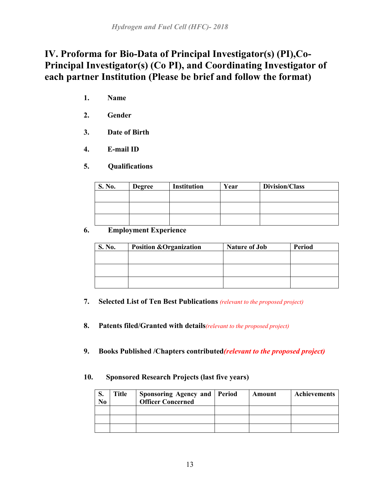# **IV. Proforma for Bio-Data of Principal Investigator(s) (PI),Co-Principal Investigator(s) (Co PI), and Coordinating Investigator of each partner Institution (Please be brief and follow the format)**

- **1. Name**
- **2. Gender**
- **3. Date of Birth**
- **4. E-mail ID**
- **5. Qualifications**

| S. No. | <b>Degree</b> | <b>Institution</b> | Year | Division/Class |
|--------|---------------|--------------------|------|----------------|
|        |               |                    |      |                |
|        |               |                    |      |                |
|        |               |                    |      |                |

### **6. Employment Experience**

| <b>S. No.</b> | <b>Position &amp; Organization</b> | <b>Nature of Job</b> | <b>Period</b> |
|---------------|------------------------------------|----------------------|---------------|
|               |                                    |                      |               |
|               |                                    |                      |               |
|               |                                    |                      |               |
|               |                                    |                      |               |

- **7. Selected List of Ten Best Publications** *(relevant to the proposed project)*
- **8. Patents filed/Granted with details***(relevant to the proposed project)*
- **9. Books Published /Chapters contributed***(relevant to the proposed project)*

#### **10. Sponsored Research Projects (last five years)**

| ञ.<br>N <sub>0</sub> | Title | Sponsoring Agency and Period<br><b>Officer Concerned</b> | Amount | Achievements |
|----------------------|-------|----------------------------------------------------------|--------|--------------|
|                      |       |                                                          |        |              |
|                      |       |                                                          |        |              |
|                      |       |                                                          |        |              |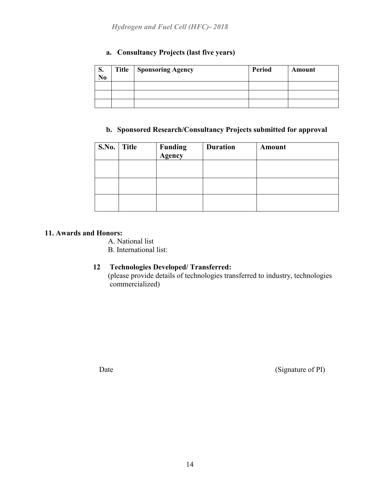## **a. Consultancy Projects (last five years)**

| $\mathbf{C}$<br>S.<br>N <sub>0</sub> | <b>Title</b> | Sponsoring Agency | <b>Period</b> | Amount |
|--------------------------------------|--------------|-------------------|---------------|--------|
|                                      |              |                   |               |        |
|                                      |              |                   |               |        |
|                                      |              |                   |               |        |

### **b. Sponsored Research/Consultancy Projects submitted for approval**

| S.No. Title | <b>Funding</b><br><b>Agency</b> | <b>Duration</b> | Amount |
|-------------|---------------------------------|-----------------|--------|
|             |                                 |                 |        |
|             |                                 |                 |        |
|             |                                 |                 |        |

#### **11. Awards and Honors:**

- A. National list
- B. International list:

#### **12 Technologies Developed/ Transferred:**

 (please provide details of technologies transferred to industry, technologies commercialized)

Date (Signature of PI)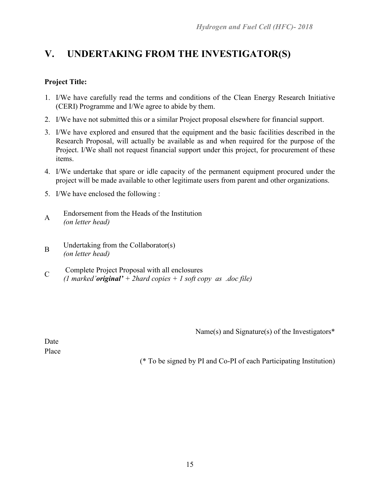# **V. UNDERTAKING FROM THE INVESTIGATOR(S)**

### **Project Title:**

- 1. I/We have carefully read the terms and conditions of the Clean Energy Research Initiative (CERI) Programme and I/We agree to abide by them.
- 2. I/We have not submitted this or a similar Project proposal elsewhere for financial support.
- 3. I/We have explored and ensured that the equipment and the basic facilities described in the Research Proposal, will actually be available as and when required for the purpose of the Project. I/We shall not request financial support under this project, for procurement of these items.
- 4. I/We undertake that spare or idle capacity of the permanent equipment procured under the project will be made available to other legitimate users from parent and other organizations.
- 5. I/We have enclosed the following :
- <sup>A</sup> Endorsement from the Heads of the Institution *(on letter head)*
- B Undertaking from the Collaborator(s) *(on letter head)*
- C Complete Project Proposal with all enclosures *(1 marked'original' + 2hard copies + 1 soft copy as .doc file)*

Name(s) and Signature(s) of the Investigators\*

Date Place

(\* To be signed by PI and Co-PI of each Participating Institution)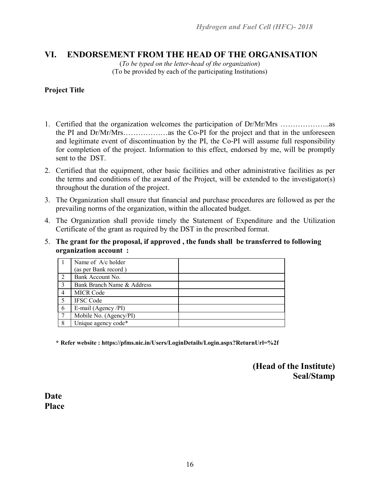## **VI. ENDORSEMENT FROM THE HEAD OF THE ORGANISATION**

(*To be typed on the letter-head of the organization*) (To be provided by each of the participating Institutions)

#### **Project Title**

- 1. Certified that the organization welcomes the participation of Dr/Mr/Mrs ………………..as the PI and Dr/Mr/Mrs………………as the Co-PI for the project and that in the unforeseen and legitimate event of discontinuation by the PI, the Co-PI will assume full responsibility for completion of the project. Information to this effect, endorsed by me, will be promptly sent to the DST.
- 2. Certified that the equipment, other basic facilities and other administrative facilities as per the terms and conditions of the award of the Project, will be extended to the investigator(s) throughout the duration of the project.
- 3. The Organization shall ensure that financial and purchase procedures are followed as per the prevailing norms of the organization, within the allocated budget.
- 4. The Organization shall provide timely the Statement of Expenditure and the Utilization Certificate of the grant as required by the DST in the prescribed format.
- 5. **The grant for the proposal, if approved , the funds shall be transferred to following organization account :**

|   | Name of A/c holder         |
|---|----------------------------|
|   | (as per Bank record)       |
|   | Bank Account No.           |
| 3 | Bank Branch Name & Address |
|   | <b>MICR Code</b>           |
|   | <b>IFSC Code</b>           |
| 6 | E-mail (Agency /PI)        |
|   | Mobile No. (Agency/PI)     |
| 8 | Unique agency code*        |

**\* Refer website : https://pfms.nic.in/Users/LoginDetails/Login.aspx?ReturnUrl=%2f**

**(Head of the Institute) Seal/Stamp**

**Date Place**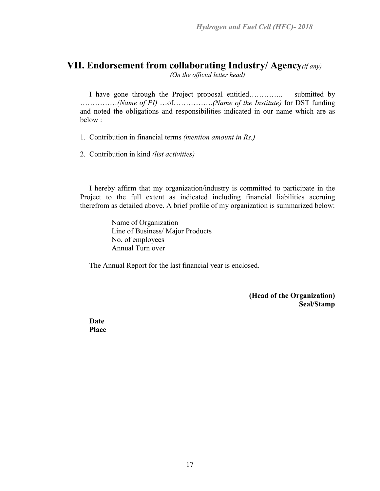# **VII. Endorsement from collaborating Industry/ Agency***(if any)*

*(On the official letter head)*

I have gone through the Project proposal entitled………….. submitted by ……………*(Name of PI)* …of…………….*(Name of the Institute)* for DST funding and noted the obligations and responsibilities indicated in our name which are as below :

1. Contribution in financial terms *(mention amount in Rs.)*

2. Contribution in kind *(list activities)*

 I hereby affirm that my organization/industry is committed to participate in the Project to the full extent as indicated including financial liabilities accruing therefrom as detailed above. A brief profile of my organization is summarized below:

> Name of Organization Line of Business/ Major Products No. of employees Annual Turn over

The Annual Report for the last financial year is enclosed.

**(Head of the Organization) Seal/Stamp**

**Date Place**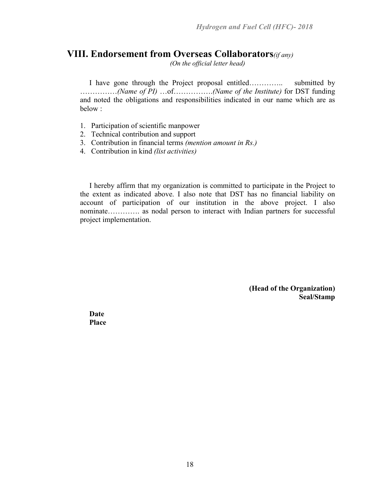## **VIII. Endorsement from Overseas Collaborators***(if any)*

*(On the official letter head)*

I have gone through the Project proposal entitled………….. submitted by ……………*(Name of PI)* …of…………….*(Name of the Institute)* for DST funding and noted the obligations and responsibilities indicated in our name which are as below :

- 1. Participation of scientific manpower
- 2. Technical contribution and support
- 3. Contribution in financial terms *(mention amount in Rs.)*
- 4. Contribution in kind *(list activities)*

 I hereby affirm that my organization is committed to participate in the Project to the extent as indicated above. I also note that DST has no financial liability on account of participation of our institution in the above project. I also nominate…………. as nodal person to interact with Indian partners for successful project implementation.

> **(Head of the Organization) Seal/Stamp**

**Date Place**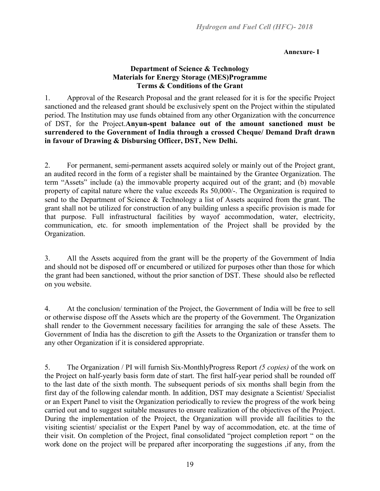#### **Annexure- I**

#### **Department of Science & Technology Materials for Energy Storage (MES)Programme Terms & Conditions of the Grant**

1. Approval of the Research Proposal and the grant released for it is for the specific Project sanctioned and the released grant should be exclusively spent on the Project within the stipulated period. The Institution may use funds obtained from any other Organization with the concurrence of DST, for the Project.**Anyun-spent balance out of the amount sanctioned must be surrendered to the Government of India through a crossed Cheque/ Demand Draft drawn in favour of Drawing & Disbursing Officer, DST, New Delhi.**

2. For permanent, semi-permanent assets acquired solely or mainly out of the Project grant, an audited record in the form of a register shall be maintained by the Grantee Organization. The term "Assets" include (a) the immovable property acquired out of the grant; and (b) movable property of capital nature where the value exceeds Rs 50,000/-. The Organization is required to send to the Department of Science & Technology a list of Assets acquired from the grant. The grant shall not be utilized for construction of any building unless a specific provision is made for that purpose. Full infrastructural facilities by wayof accommodation, water, electricity, communication, etc. for smooth implementation of the Project shall be provided by the Organization.

3. All the Assets acquired from the grant will be the property of the Government of India and should not be disposed off or encumbered or utilized for purposes other than those for which the grant had been sanctioned, without the prior sanction of DST. These should also be reflected on you website.

4. At the conclusion/ termination of the Project, the Government of India will be free to sell or otherwise dispose off the Assets which are the property of the Government. The Organization shall render to the Government necessary facilities for arranging the sale of these Assets. The Government of India has the discretion to gift the Assets to the Organization or transfer them to any other Organization if it is considered appropriate.

5. The Organization / PI will furnish Six-MonthlyProgress Report *(5 copies)* of the work on the Project on half-yearly basis form date of start. The first half-year period shall be rounded off to the last date of the sixth month. The subsequent periods of six months shall begin from the first day of the following calendar month. In addition, DST may designate a Scientist/ Specialist or an Expert Panel to visit the Organization periodically to review the progress of the work being carried out and to suggest suitable measures to ensure realization of the objectives of the Project. During the implementation of the Project, the Organization will provide all facilities to the visiting scientist/ specialist or the Expert Panel by way of accommodation, etc. at the time of their visit. On completion of the Project, final consolidated "project completion report " on the work done on the project will be prepared after incorporating the suggestions ,if any, from the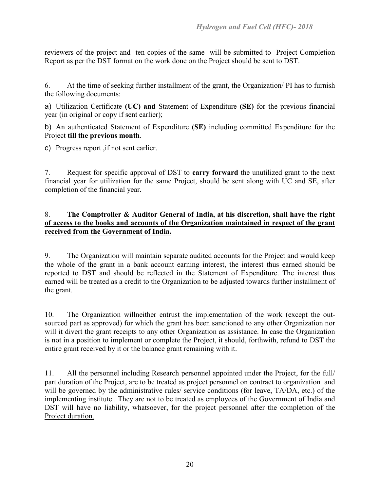reviewers of the project and ten copies of the same will be submitted to Project Completion Report as per the DST format on the work done on the Project should be sent to DST.

6. At the time of seeking further installment of the grant, the Organization/ PI has to furnish the following documents:

a) Utilization Certificate **(UC) and** Statement of Expenditure **(SE)** for the previous financial year (in original or copy if sent earlier);

b) An authenticated Statement of Expenditure **(SE)** including committed Expenditure for the Project **till the previous month**.

c) Progress report ,if not sent earlier.

7. Request for specific approval of DST to **carry forward** the unutilized grant to the next financial year for utilization for the same Project, should be sent along with UC and SE, after completion of the financial year.

#### 8. **The Comptroller & Auditor General of India, at his discretion, shall have the right of access to the books and accounts of the Organization maintained in respect of the grant received from the Government of India.**

9. The Organization will maintain separate audited accounts for the Project and would keep the whole of the grant in a bank account earning interest, the interest thus earned should be reported to DST and should be reflected in the Statement of Expenditure. The interest thus earned will be treated as a credit to the Organization to be adjusted towards further installment of the grant.

10. The Organization willneither entrust the implementation of the work (except the outsourced part as approved) for which the grant has been sanctioned to any other Organization nor will it divert the grant receipts to any other Organization as assistance. In case the Organization is not in a position to implement or complete the Project, it should, forthwith, refund to DST the entire grant received by it or the balance grant remaining with it.

11. All the personnel including Research personnel appointed under the Project, for the full/ part duration of the Project, are to be treated as project personnel on contract to organization and will be governed by the administrative rules/ service conditions (for leave, TA/DA, etc.) of the implementing institute.. They are not to be treated as employees of the Government of India and DST will have no liability, whatsoever, for the project personnel after the completion of the Project duration.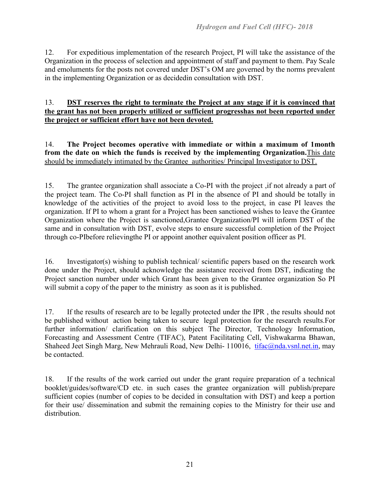12. For expeditious implementation of the research Project, PI will take the assistance of the Organization in the process of selection and appointment of staff and payment to them. Pay Scale and emoluments for the posts not covered under DST's OM are governed by the norms prevalent in the implementing Organization or as decidedin consultation with DST.

#### 13. **DST reserves the right to terminate the Project at any stage if it is convinced that the grant has not been properly utilized or sufficient progresshas not been reported under the project or sufficient effort have not been devoted.**

14. **The Project becomes operative with immediate or within a maximum of 1month from the date on which the funds is received by the implementing Organization.**This date should be immediately intimated by the Grantee authorities/ Principal Investigator to DST.

15. The grantee organization shall associate a Co-PI with the project ,if not already a part of the project team. The Co-PI shall function as PI in the absence of PI and should be totally in knowledge of the activities of the project to avoid loss to the project, in case PI leaves the organization. If PI to whom a grant for a Project has been sanctioned wishes to leave the Grantee Organization where the Project is sanctioned,Grantee Organization/PI will inform DST of the same and in consultation with DST, evolve steps to ensure successful completion of the Project through co-PIbefore relievingthe PI or appoint another equivalent position officer as PI.

16. Investigator(s) wishing to publish technical/ scientific papers based on the research work done under the Project, should acknowledge the assistance received from DST, indicating the Project sanction number under which Grant has been given to the Grantee organization So PI will submit a copy of the paper to the ministry as soon as it is published.

17. If the results of research are to be legally protected under the IPR , the results should not be published without action being taken to secure legal protection for the research results.For further information/ clarification on this subject The Director, Technology Information, Forecasting and Assessment Centre (TIFAC), Patent Facilitating Cell, Vishwakarma Bhawan, Shaheed Jeet Singh Marg, New Mehrauli Road, New Delhi- 110016, tifac@nda.vsnl.net.in, may be contacted.

18. If the results of the work carried out under the grant require preparation of a technical booklet/guides/software/CD etc. in such cases the grantee organization will publish/prepare sufficient copies (number of copies to be decided in consultation with DST) and keep a portion for their use/ dissemination and submit the remaining copies to the Ministry for their use and distribution.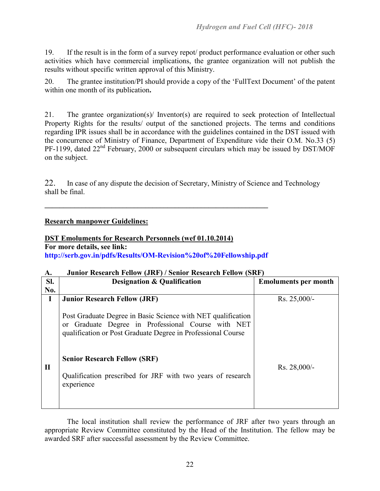19. If the result is in the form of a survey repot/ product performance evaluation or other such activities which have commercial implications, the grantee organization will not publish the results without specific written approval of this Ministry.

20. The grantee institution/PI should provide a copy of the 'FullText Document' of the patent within one month of its publication**.**

21. The grantee organization(s)/ Inventor(s) are required to seek protection of Intellectual Property Rights for the results/ output of the sanctioned projects. The terms and conditions regarding IPR issues shall be in accordance with the guidelines contained in the DST issued with the concurrence of Ministry of Finance, Department of Expenditure vide their O.M. No.33 (5) PF-1199, dated 22<sup>nd</sup> February, 2000 or subsequent circulars which may be issued by DST/MOF on the subject.

22. In case of any dispute the decision of Secretary, Ministry of Science and Technology shall be final.

#### **Research manpower Guidelines:**

#### **DST Emoluments for Research Personnels (wef 01.10.2014)**

#### **For more details, see link:**

**http://serb.gov.in/pdfs/Results/OM-Revision%20of%20Fellowship.pdf**

**\_\_\_\_\_\_\_\_\_\_\_\_\_\_\_\_\_\_\_\_\_\_\_\_\_\_\_\_\_\_\_\_\_\_\_\_\_\_\_\_\_\_\_\_\_\_\_\_\_\_\_\_\_\_\_\_\_\_\_\_**

#### **A. Junior Research Fellow (JRF) / Senior Research Fellow (SRF)**

| SI.          | <b>Designation &amp; Qualification</b>                                                                                                                                             | <b>Emoluments per month</b> |
|--------------|------------------------------------------------------------------------------------------------------------------------------------------------------------------------------------|-----------------------------|
| No.          |                                                                                                                                                                                    |                             |
| I            | <b>Junior Research Fellow (JRF)</b>                                                                                                                                                | $Rs. 25,000/$ -             |
|              | Post Graduate Degree in Basic Science with NET qualification<br>or Graduate Degree in Professional Course with NET<br>qualification or Post Graduate Degree in Professional Course |                             |
| $\mathbf{I}$ | <b>Senior Research Fellow (SRF)</b><br>Qualification prescribed for JRF with two years of research<br>experience                                                                   | Rs. 28,000/-                |

The local institution shall review the performance of JRF after two years through an appropriate Review Committee constituted by the Head of the Institution. The fellow may be awarded SRF after successful assessment by the Review Committee.